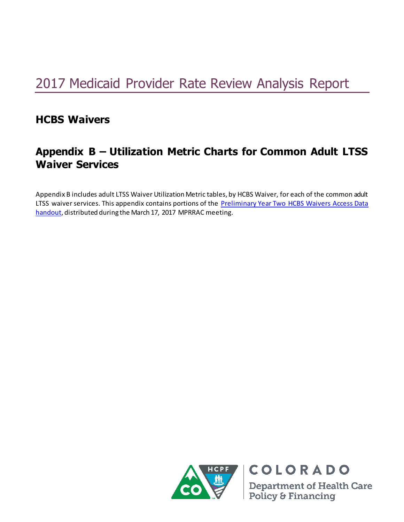# 2017 Medicaid Provider Rate Review Analysis Report

# **HCBS Waivers**

# **Appendix B – Utilization Metric Charts for Common Adult LTSS Waiver Services**

Appendix B includes adult LTSS Waiver Utilization Metric tables, by HCBS Waiver, for each of the common adult LTSS waiver services. This appendix contains portions of the Preliminary Year Two HCBS Waivers Access Data [handout,](https://www.colorado.gov/pacific/sites/default/files/Preliminary%20Year%20Two%20HCBS%20Waivers%20Access%20Data%20March%202017.pdf) distributed during the March 17, 2017 MPRRAC meeting.



**Department of Health Care** Policy & Financing

COLORADO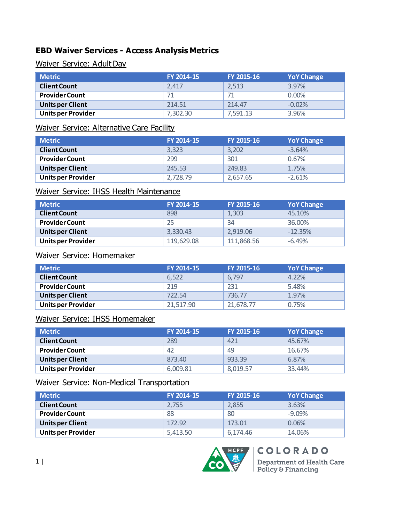# **EBD Waiver Services - Access Analysis Metrics**

Waiver Service: Adult Day

| Metric                    | FY 2014-15 | FY 2015-16 | <b>YoY Change</b> |
|---------------------------|------------|------------|-------------------|
| <b>Client Count</b>       | 2.417      | 2.513      | 3.97%             |
| <b>Provider Count</b>     | 71         |            | $0.00\%$          |
| <b>Units per Client</b>   | 214.51     | 214.47     | $-0.02%$          |
| <b>Units per Provider</b> | 7.302.30   | 7.591.13   | 3.96%             |

#### Waiver Service: Alternative Care Facility

| Metric                    | FY 2014-15 | FY 2015-16 | <b>YoY Change</b> |
|---------------------------|------------|------------|-------------------|
| <b>Client Count</b>       | 3.323      | 3,202      | $-3.64%$          |
| <b>Provider Count</b>     | 299        | 301        | 0.67%             |
| <b>Units per Client</b>   | 245.53     | 249.83     | 1.75%             |
| <b>Units per Provider</b> | 2,728.79   | 2,657.65   | $-2.61%$          |

## Waiver Service: IHSS Health Maintenance

| <b>Metric</b>             | FY 2014-15 | FY 2015-16 | <b>YoY Change</b> |
|---------------------------|------------|------------|-------------------|
| <b>Client Count</b>       | 898        | 1,303      | 45.10%            |
| <b>Provider Count</b>     | 25         | 34         | 36.00%            |
| Units per Client          | 3.330.43   | 2.919.06   | $-12.35%$         |
| <b>Units per Provider</b> | 119,629.08 | 111,868.56 | $-6.49%$          |

# Waiver Service: Homemaker

| Metric                    | FY 2014-15 | FY 2015-16 | <b>YoY Change</b> |
|---------------------------|------------|------------|-------------------|
| <b>Client Count</b>       | 6,522      | 6.797      | 4.22%             |
| <b>Provider Count</b>     | 219        | 231        | 5.48%             |
| <b>Units per Client</b>   | 722.54     | 736.77     | 1.97%             |
| <b>Units per Provider</b> | 21.517.90  | 21,678.77  | 0.75%             |

#### Waiver Service: IHSS Homemaker

| <b>Metric</b>             | FY 2014-15 | FY 2015-16 | <b>YoY Change</b> |
|---------------------------|------------|------------|-------------------|
| <b>Client Count</b>       | 289        | 421        | 45.67%            |
| <b>Provider Count</b>     | 42         | 49         | 16.67%            |
| <b>Units per Client</b>   | 873.40     | 933.39     | 6.87%             |
| <b>Units per Provider</b> | 6.009.81   | 8,019.57   | 33.44%            |

# Waiver Service: Non-Medical Transportation

| <b>Metric</b>             | FY 2014-15 | FY 2015-16 | <b>YoY Change</b> |
|---------------------------|------------|------------|-------------------|
| <b>Client Count</b>       | 2.755      | 2,855      | 3.63%             |
| <b>Provider Count</b>     | 88         | 80         | $-9.09%$          |
| <b>Units per Client</b>   | 172.92     | 173.01     | 0.06%             |
| <b>Units per Provider</b> | 5.413.50   | 6.174.46   | 14.06%            |

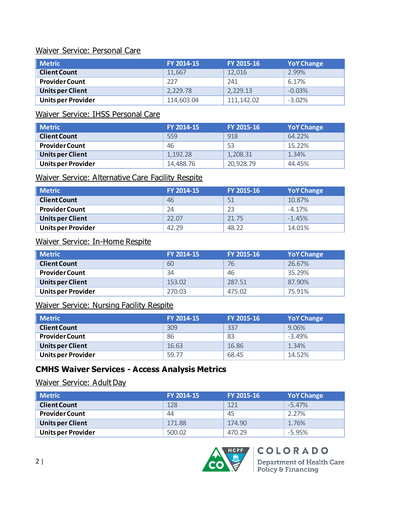#### Waiver Service: Personal Care

| <b>Metric</b>             | FY 2014-15 | FY 2015-16  | <b>YoY Change</b> |
|---------------------------|------------|-------------|-------------------|
| <b>Client Count</b>       | 11,667     | 12.016      | 2.99%             |
| <b>Provider Count</b>     | 227        | 241         | 6.17%             |
| <b>Units per Client</b>   | 2.229.78   | 2.229.13    | $-0.03%$          |
| <b>Units per Provider</b> | 114,603.04 | 111, 142.02 | $-3.02%$          |

# Waiver Service: IHSS Personal Care

| <b>Metric</b>           | FY 2014-15 | FY 2015-16 | <b>YoY Change</b> |
|-------------------------|------------|------------|-------------------|
| <b>Client Count</b>     | 559        | 918        | 64.22%            |
| <b>Provider Count</b>   | 46         | 53         | 15.22%            |
| <b>Units per Client</b> | 1.192.28   | 1,208.31   | 1.34%             |
| Units per Provider      | 14,488.76  | 20,928.79  | 44.45%            |

#### Waiver Service: Alternative Care Facility Respite

| <b>Metric</b>             | FY 2014-15 | FY 2015-16 | <b>YoY Change</b> |
|---------------------------|------------|------------|-------------------|
| <b>Client Count</b>       | 46         | 51         | 10.87%            |
| <b>Provider Count</b>     | 24         |            | $-4.17%$          |
| Units per Client          | 22.07      | 21.75      | $-1.45%$          |
| <b>Units per Provider</b> | 42.29      | 48.22      | 14.01%            |

#### Waiver Service: In-Home Respite

| <b>Metric</b>             | FY 2014-15 | FY 2015-16 | <b>YoY Change</b> |
|---------------------------|------------|------------|-------------------|
| <b>Client Count</b>       | 60         | 76         | 26.67%            |
| <b>Provider Count</b>     | 34         | 46         | 35.29%            |
| <b>Units per Client</b>   | 153.02     | 287.51     | 87.90%            |
| <b>Units per Provider</b> | 270.03     | 475.02     | 75.91%            |

# Waiver Service: Nursing Facility Respite

| <b>Metric</b>             | FY 2014-15 | FY 2015-16 | <b>YoY Change</b> |
|---------------------------|------------|------------|-------------------|
| <b>Client Count</b>       | 309        | 337        | 9.06%             |
| <b>Provider Count</b>     | 86         | 83         | $-3.49%$          |
| <b>Units per Client</b>   | 16.63      | 16.86      | 1.34%             |
| <b>Units per Provider</b> | 59.77      | 68.45      | 14.52%            |

# **CMHS Waiver Services - Access Analysis Metrics**

#### Waiver Service: Adult Day

| <b>Metric</b>             | FY 2014-15 | FY 2015-16 | <b>YoY Change</b> |
|---------------------------|------------|------------|-------------------|
| <b>Client Count</b>       | 128        | 121        | $-5.47%$          |
| <b>Provider Count</b>     | 44         | 45         | 2.27%             |
| <b>Units per Client</b>   | 171.88     | 174.90     | 1.76%             |
| <b>Units per Provider</b> | 500.02     | 470.29     | $-5.95%$          |

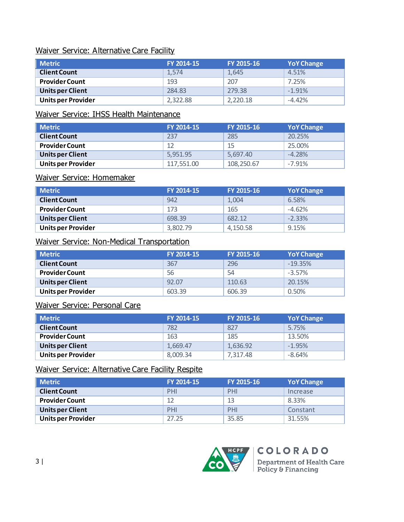#### Waiver Service: Alternative Care Facility

| <b>Metric</b>             | FY 2014-15 | FY 2015-16 | <b>YoY Change</b> |
|---------------------------|------------|------------|-------------------|
| <b>Client Count</b>       | 1.574      | 1.645      | 4.51%             |
| <b>Provider Count</b>     | 193        | 207        | 7.25%             |
| <b>Units per Client</b>   | 284.83     | 279.38     | $-1.91%$          |
| <b>Units per Provider</b> | 2.322.88   | 2.220.18   | $-4.42%$          |

# Waiver Service: IHSS Health Maintenance

| <b>Metric</b>             | FY 2014-15 | FY 2015-16 | <b>YoY Change</b> |
|---------------------------|------------|------------|-------------------|
| <b>Client Count</b>       | 237        | 285        | 20.25%            |
| <b>Provider Count</b>     | 12         | 15         | 25.00%            |
| Units per Client          | 5.951.95   | 5.697.40   | $-4.28%$          |
| <b>Units per Provider</b> | 117,551.00 | 108,250.67 | $-7.91%$          |

#### Waiver Service: Homemaker

| <b>Metric</b>           | FY 2014-15 | FY 2015-16 | <b>YoY Change</b> |
|-------------------------|------------|------------|-------------------|
| <b>Client Count</b>     | 942        | 1.004      | 6.58%             |
| <b>Provider Count</b>   | 173        | 165        | $-4.62%$          |
| <b>Units per Client</b> | 698.39     | 682.12     | $-2.33%$          |
| Units per Provider      | 3,802.79   | 4,150.58   | 9.15%             |

# Waiver Service: Non-Medical Transportation

| <b>Metric</b>             | FY 2014-15 | FY 2015-16 | <b>YoY Change</b> |
|---------------------------|------------|------------|-------------------|
| <b>Client Count</b>       | 367        | 296        | $-19.35%$         |
| <b>Provider Count</b>     | 56         | 54         | $-3.57\%$         |
| Units per Client          | 92.07      | 110.63     | 20.15%            |
| <b>Units per Provider</b> | 603.39     | 606.39     | 0.50%             |

# Waiver Service: Personal Care

| Metric                    | FY 2014-15 | FY 2015-16 | <b>YoY Change</b> |
|---------------------------|------------|------------|-------------------|
| <b>Client Count</b>       | 782        | 827        | 5.75%             |
| <b>Provider Count</b>     | 163        | 185        | 13.50%            |
| <b>Units per Client</b>   | 1.669.47   | 1,636.92   | $-1.95%$          |
| <b>Units per Provider</b> | 8,009.34   | 7,317.48   | $-8.64%$          |

#### Waiver Service: Alternative Care Facility Respite

| Metric                    | FY 2014-15 | FY 2015-16 | <b>YoY Change</b> |
|---------------------------|------------|------------|-------------------|
| <b>Client Count</b>       | PHI        | PHI        | Increase          |
| <b>Provider Count</b>     | 12         | 13         | 8.33%             |
| <b>Units per Client</b>   | PHI        | PHI        | Constant          |
| <b>Units per Provider</b> | 27.25      | 35.85      | 31.55%            |

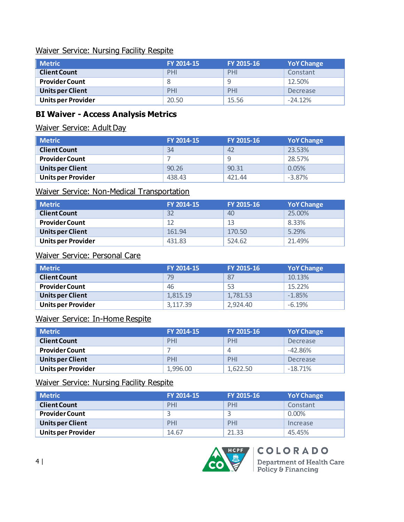#### Waiver Service: Nursing Facility Respite

| <b>Metric</b>             | FY 2014-15 | FY 2015-16 | <b>YoY Change</b> |
|---------------------------|------------|------------|-------------------|
| <b>Client Count</b>       | PHI        | PHI        | Constant          |
| <b>Provider Count</b>     |            |            | 12.50%            |
| <b>Units per Client</b>   | PHI        | PHI        | Decrease          |
| <b>Units per Provider</b> | 20.50      | 15.56      | $-24.12%$         |

## **BI Waiver - Access Analysis Metrics**

#### Waiver Service: Adult Day

| <b>Metric</b>             | FY 2014-15 | FY 2015-16 | <b>YoY Change</b> |
|---------------------------|------------|------------|-------------------|
| <b>Client Count</b>       | 34         | 42         | 23.53%            |
| <b>Provider Count</b>     |            |            | 28.57%            |
| <b>Units per Client</b>   | 90.26      | 90.31      | 0.05%             |
| <b>Units per Provider</b> | 438.43     | 421.44     | $-3.87%$          |

#### Waiver Service: Non-Medical Transportation

| <b>Metric</b>             | FY 2014-15 | FY 2015-16 | <b>YoY Change</b> |
|---------------------------|------------|------------|-------------------|
| <b>Client Count</b>       | 32         | 40         | 25.00%            |
| <b>Provider Count</b>     | 12         | 13         | 8.33%             |
| <b>Units per Client</b>   | 161.94     | 170.50     | 5.29%             |
| <b>Units per Provider</b> | 431.83     | 524.62     | 21.49%            |

# Waiver Service: Personal Care

| Metric                    | FY 2014-15 | FY 2015-16 | <b>YoY Change</b> |
|---------------------------|------------|------------|-------------------|
| <b>Client Count</b>       | 79         | 87         | 10.13%            |
| <b>Provider Count</b>     | 46         | 53         | 15.22%            |
| <b>Units per Client</b>   | 1.815.19   | 1,781.53   | $-1.85%$          |
| <b>Units per Provider</b> | 3.117.39   | 2.924.40   | $-6.19%$          |

#### Waiver Service: In-Home Respite

| <b>Metric</b>             | FY 2014-15 | FY 2015-16 | <b>YoY Change</b> |
|---------------------------|------------|------------|-------------------|
| <b>Client Count</b>       | PHI        | PHI        | Decrease          |
| <b>Provider Count</b>     |            | $\Delta$   | $-42.86%$         |
| <b>Units per Client</b>   | PHI        | PHI        | Decrease          |
| <b>Units per Provider</b> | 1,996.00   | 1,622.50   | $-18.71%$         |

# Waiver Service: Nursing Facility Respite

| <b>Metric</b>             | FY 2014-15 | FY 2015-16 | <b>YoY Change</b> |
|---------------------------|------------|------------|-------------------|
| <b>Client Count</b>       | PHI        | PHI        | Constant          |
| <b>Provider Count</b>     |            |            | $0.00\%$          |
| <b>Units per Client</b>   | PHI        | PHI        | Increase          |
| <b>Units per Provider</b> | 14.67      | 21.33      | 45.45%            |

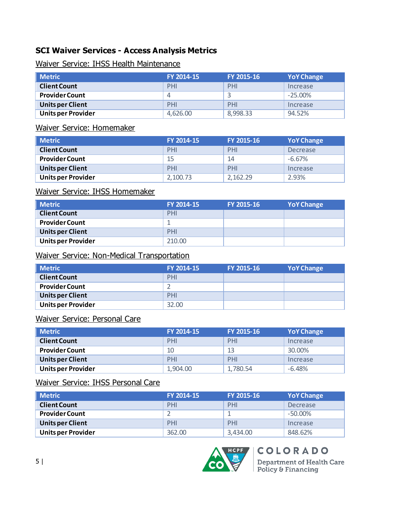# **SCI Waiver Services - Access Analysis Metrics**

#### Waiver Service: IHSS Health Maintenance

| <b>Metric</b>             | FY 2014-15 | FY 2015-16 | <b>YoY Change</b> |
|---------------------------|------------|------------|-------------------|
| <b>Client Count</b>       | PHI        | PHI        | Increase          |
| <b>Provider Count</b>     | 4          |            | $-25.00\%$        |
| <b>Units per Client</b>   | PHI        | PHI        | Increase          |
| <b>Units per Provider</b> | 4.626.00   | 8,998.33   | 94.52%            |

#### Waiver Service: Homemaker

| <b>Metric</b>             | FY 2014-15 | FY 2015-16 | <b>YoY Change</b> |
|---------------------------|------------|------------|-------------------|
| <b>Client Count</b>       | PHI        | PHI        | Decrease          |
| <b>Provider Count</b>     | 15         | 14         | $-6.67\%$         |
| <b>Units per Client</b>   | PHI        | PHI        | Increase          |
| <b>Units per Provider</b> | 2,100.73   | 2,162.29   | 2.93%             |

#### Waiver Service: IHSS Homemaker

| $\blacksquare$ Metric     | FY 2014-15 | FY 2015-16 | <b>YoY Change</b> |
|---------------------------|------------|------------|-------------------|
| <b>Client Count</b>       | PHI        |            |                   |
| <b>Provider Count</b>     |            |            |                   |
| <b>Units per Client</b>   | PHI        |            |                   |
| <b>Units per Provider</b> | 210.00     |            |                   |

### Waiver Service: Non-Medical Transportation

| Metric                    | FY 2014-15 | FY 2015-16 | <b>YoY Change</b> |
|---------------------------|------------|------------|-------------------|
| <b>Client Count</b>       | PHI        |            |                   |
| <b>Provider Count</b>     |            |            |                   |
| Units per Client          | PHI        |            |                   |
| <b>Units per Provider</b> | 32.00      |            |                   |

#### Waiver Service: Personal Care

| <b>Metric</b>             | FY 2014-15 | FY 2015-16 | <b>YoY Change</b> |
|---------------------------|------------|------------|-------------------|
| <b>Client Count</b>       | PHI        | PHI        | Increase          |
| <b>Provider Count</b>     | 10         | 13         | 30.00%            |
| <b>Units per Client</b>   | PHI        | PHI        | Increase          |
| <b>Units per Provider</b> | 1.904.00   | 1,780.54   | $-6.48%$          |

# Waiver Service: IHSS Personal Care

| <b>Metric</b>             | FY 2014-15 | FY 2015-16 | <b>YoY Change</b> |
|---------------------------|------------|------------|-------------------|
| <b>Client Count</b>       | PHI        | PHI        | Decrease          |
| <b>Provider Count</b>     |            |            | $-50.00\%$        |
| <b>Units per Client</b>   | PHI        | PHI        | Increase          |
| <b>Units per Provider</b> | 362.00     | 3,434.00   | 848.62%           |